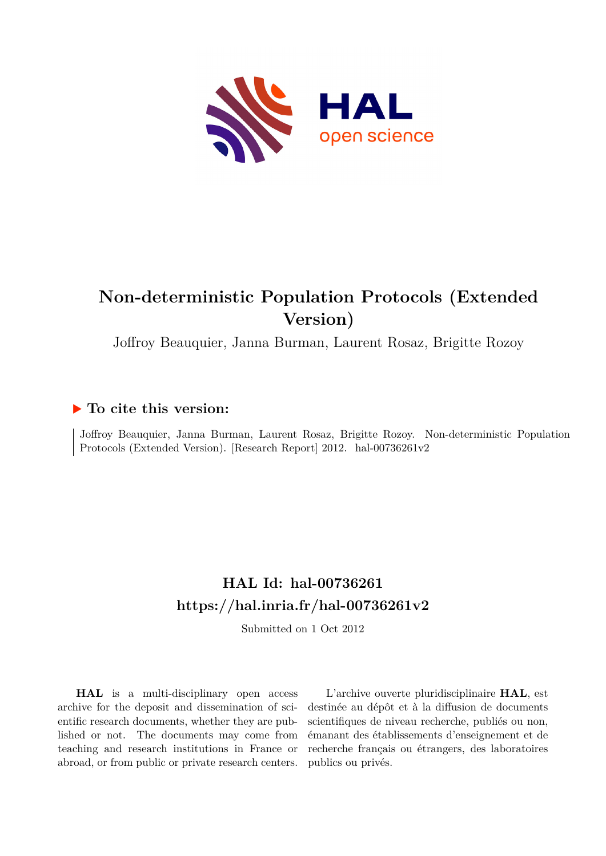

# **Non-deterministic Population Protocols (Extended Version)**

Joffroy Beauquier, Janna Burman, Laurent Rosaz, Brigitte Rozoy

## **To cite this version:**

Joffroy Beauquier, Janna Burman, Laurent Rosaz, Brigitte Rozoy. Non-deterministic Population Protocols (Extended Version). [Research Report] 2012. hal-00736261v2

# **HAL Id: hal-00736261 <https://hal.inria.fr/hal-00736261v2>**

Submitted on 1 Oct 2012

**HAL** is a multi-disciplinary open access archive for the deposit and dissemination of scientific research documents, whether they are published or not. The documents may come from teaching and research institutions in France or abroad, or from public or private research centers.

L'archive ouverte pluridisciplinaire **HAL**, est destinée au dépôt et à la diffusion de documents scientifiques de niveau recherche, publiés ou non, émanant des établissements d'enseignement et de recherche français ou étrangers, des laboratoires publics ou privés.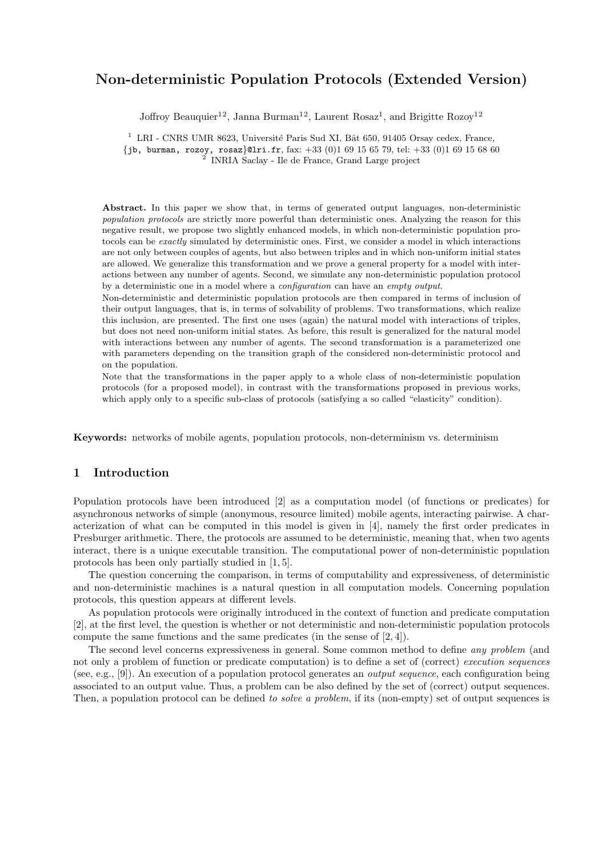## **Non-deterministic Population Protocols (Extended Version)**

Joffroy Beauquier<sup>12</sup>, Janna Burman<sup>12</sup>, Laurent Rosaz<sup>1</sup>, and Brigitte Rozoy<sup>12</sup>

 $1$  LRI - CNRS UMR 8623, Université Paris Sud XI, Bât 650, 91405 Orsay cedex, France,

*{*jb, burman, rozoy, rosaz*}*@lri.fr, fax: +33 (0)1 69 15 65 79, tel: +33 (0)1 69 15 68 60

2 INRIA Saclay - Ile de France, Grand Large project

**Abstract.** In this paper we show that, in terms of generated output languages, non-deterministic *population protocols* are strictly more powerful than deterministic ones. Analyzing the reason for this negative result, we propose two slightly enhanced models, in which non-deterministic population protocols can be *exactly* simulated by deterministic ones. First, we consider a model in which interactions are not only between couples of agents, but also between triples and in which non-uniform initial states are allowed. We generalize this transformation and we prove a general property for a model with interactions between any number of agents. Second, we simulate any non-deterministic population protocol by a deterministic one in a model where a *configuration* can have an *empty output*.

Non-deterministic and deterministic population protocols are then compared in terms of inclusion of their output languages, that is, in terms of solvability of problems. Two transformations, which realize this inclusion, are presented. The first one uses (again) the natural model with interactions of triples, but does not need non-uniform initial states. As before, this result is generalized for the natural model with interactions between any number of agents. The second transformation is a parameterized one with parameters depending on the transition graph of the considered non-deterministic protocol and on the population.

Note that the transformations in the paper apply to a whole class of non-deterministic population protocols (for a proposed model), in contrast with the transformations proposed in previous works, which apply only to a specific sub-class of protocols (satisfying a so called "elasticity" condition).

**Keywords:** networks of mobile agents, population protocols, non-determinism vs. determinism

## **1 Introduction**

Population protocols have been introduced [2] as a computation model (of functions or predicates) for asynchronous networks of simple (anonymous, resource limited) mobile agents, interacting pairwise. A characterization of what can be computed in this model is given in [4], namely the first order predicates in Presburger arithmetic. There, the protocols are assumed to be deterministic, meaning that, when two agents interact, there is a unique executable transition. The computational power of non-deterministic population protocols has been only partially studied in [1, 5].

The question concerning the comparison, in terms of computability and expressiveness, of deterministic and non-deterministic machines is a natural question in all computation models. Concerning population protocols, this question appears at different levels.

As population protocols were originally introduced in the context of function and predicate computation [2], at the first level, the question is whether or not deterministic and non-deterministic population protocols compute the same functions and the same predicates (in the sense of [2, 4]).

The second level concerns expressiveness in general. Some common method to define *any problem* (and not only a problem of function or predicate computation) is to define a set of (correct) *execution sequences* (see, e.g., [9]). An execution of a population protocol generates an *output sequence*, each configuration being associated to an output value. Thus, a problem can be also defined by the set of (correct) output sequences. Then, a population protocol can be defined *to solve a problem*, if its (non-empty) set of output sequences is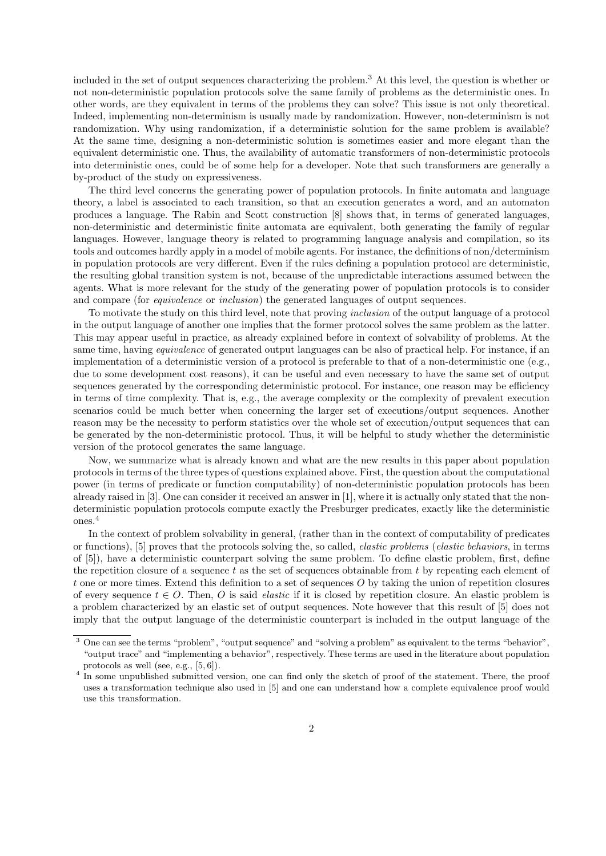included in the set of output sequences characterizing the problem.<sup>3</sup> At this level, the question is whether or not non-deterministic population protocols solve the same family of problems as the deterministic ones. In other words, are they equivalent in terms of the problems they can solve? This issue is not only theoretical. Indeed, implementing non-determinism is usually made by randomization. However, non-determinism is not randomization. Why using randomization, if a deterministic solution for the same problem is available? At the same time, designing a non-deterministic solution is sometimes easier and more elegant than the equivalent deterministic one. Thus, the availability of automatic transformers of non-deterministic protocols into deterministic ones, could be of some help for a developer. Note that such transformers are generally a by-product of the study on expressiveness.

The third level concerns the generating power of population protocols. In finite automata and language theory, a label is associated to each transition, so that an execution generates a word, and an automaton produces a language. The Rabin and Scott construction [8] shows that, in terms of generated languages, non-deterministic and deterministic finite automata are equivalent, both generating the family of regular languages. However, language theory is related to programming language analysis and compilation, so its tools and outcomes hardly apply in a model of mobile agents. For instance, the definitions of non/determinism in population protocols are very different. Even if the rules defining a population protocol are deterministic, the resulting global transition system is not, because of the unpredictable interactions assumed between the agents. What is more relevant for the study of the generating power of population protocols is to consider and compare (for *equivalence* or *inclusion*) the generated languages of output sequences.

To motivate the study on this third level, note that proving *inclusion* of the output language of a protocol in the output language of another one implies that the former protocol solves the same problem as the latter. This may appear useful in practice, as already explained before in context of solvability of problems. At the same time, having *equivalence* of generated output languages can be also of practical help. For instance, if an implementation of a deterministic version of a protocol is preferable to that of a non-deterministic one (e.g., due to some development cost reasons), it can be useful and even necessary to have the same set of output sequences generated by the corresponding deterministic protocol. For instance, one reason may be efficiency in terms of time complexity. That is, e.g., the average complexity or the complexity of prevalent execution scenarios could be much better when concerning the larger set of executions/output sequences. Another reason may be the necessity to perform statistics over the whole set of execution/output sequences that can be generated by the non-deterministic protocol. Thus, it will be helpful to study whether the deterministic version of the protocol generates the same language.

Now, we summarize what is already known and what are the new results in this paper about population protocols in terms of the three types of questions explained above. First, the question about the computational power (in terms of predicate or function computability) of non-deterministic population protocols has been already raised in [3]. One can consider it received an answer in [1], where it is actually only stated that the nondeterministic population protocols compute exactly the Presburger predicates, exactly like the deterministic ones.<sup>4</sup>

In the context of problem solvability in general, (rather than in the context of computability of predicates or functions), [5] proves that the protocols solving the, so called, *elastic problems* (*elastic behaviors*, in terms of [5]), have a deterministic counterpart solving the same problem. To define elastic problem, first, define the repetition closure of a sequence *t* as the set of sequences obtainable from *t* by repeating each element of *t* one or more times. Extend this definition to a set of sequences *O* by taking the union of repetition closures of every sequence  $t \in O$ . Then, O is said *elastic* if it is closed by repetition closure. An elastic problem is a problem characterized by an elastic set of output sequences. Note however that this result of [5] does not imply that the output language of the deterministic counterpart is included in the output language of the

<sup>&</sup>lt;sup>3</sup> One can see the terms "problem", "output sequence" and "solving a problem" as equivalent to the terms "behavior", "output trace" and "implementing a behavior", respectively. These terms are used in the literature about population protocols as well (see, e.g., [5, 6]).

<sup>&</sup>lt;sup>4</sup> In some unpublished submitted version, one can find only the sketch of proof of the statement. There, the proof uses a transformation technique also used in [5] and one can understand how a complete equivalence proof would use this transformation.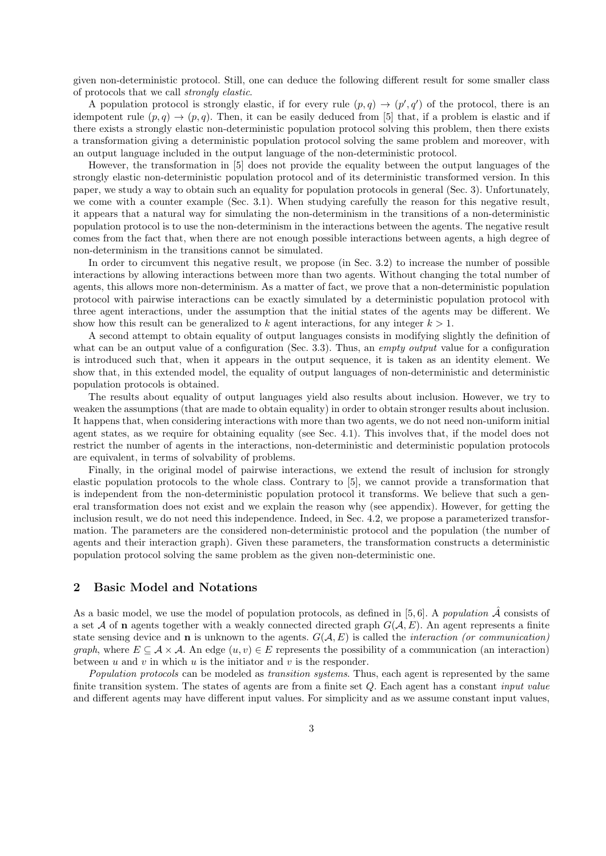given non-deterministic protocol. Still, one can deduce the following different result for some smaller class of protocols that we call *strongly elastic*.

A population protocol is strongly elastic, if for every rule  $(p, q) \rightarrow (p', q')$  of the protocol, there is an idempotent rule  $(p, q) \rightarrow (p, q)$ . Then, it can be easily deduced from [5] that, if a problem is elastic and if there exists a strongly elastic non-deterministic population protocol solving this problem, then there exists a transformation giving a deterministic population protocol solving the same problem and moreover, with an output language included in the output language of the non-deterministic protocol.

However, the transformation in [5] does not provide the equality between the output languages of the strongly elastic non-deterministic population protocol and of its deterministic transformed version. In this paper, we study a way to obtain such an equality for population protocols in general (Sec. 3). Unfortunately, we come with a counter example (Sec. 3.1). When studying carefully the reason for this negative result, it appears that a natural way for simulating the non-determinism in the transitions of a non-deterministic population protocol is to use the non-determinism in the interactions between the agents. The negative result comes from the fact that, when there are not enough possible interactions between agents, a high degree of non-determinism in the transitions cannot be simulated.

In order to circumvent this negative result, we propose (in Sec. 3.2) to increase the number of possible interactions by allowing interactions between more than two agents. Without changing the total number of agents, this allows more non-determinism. As a matter of fact, we prove that a non-deterministic population protocol with pairwise interactions can be exactly simulated by a deterministic population protocol with three agent interactions, under the assumption that the initial states of the agents may be different. We show how this result can be generalized to  $k$  agent interactions, for any integer  $k > 1$ .

A second attempt to obtain equality of output languages consists in modifying slightly the definition of what can be an output value of a configuration (Sec. 3.3). Thus, an *empty output* value for a configuration is introduced such that, when it appears in the output sequence, it is taken as an identity element. We show that, in this extended model, the equality of output languages of non-deterministic and deterministic population protocols is obtained.

The results about equality of output languages yield also results about inclusion. However, we try to weaken the assumptions (that are made to obtain equality) in order to obtain stronger results about inclusion. It happens that, when considering interactions with more than two agents, we do not need non-uniform initial agent states, as we require for obtaining equality (see Sec. 4.1). This involves that, if the model does not restrict the number of agents in the interactions, non-deterministic and deterministic population protocols are equivalent, in terms of solvability of problems.

Finally, in the original model of pairwise interactions, we extend the result of inclusion for strongly elastic population protocols to the whole class. Contrary to [5], we cannot provide a transformation that is independent from the non-deterministic population protocol it transforms. We believe that such a general transformation does not exist and we explain the reason why (see appendix). However, for getting the inclusion result, we do not need this independence. Indeed, in Sec. 4.2, we propose a parameterized transformation. The parameters are the considered non-deterministic protocol and the population (the number of agents and their interaction graph). Given these parameters, the transformation constructs a deterministic population protocol solving the same problem as the given non-deterministic one.

## **2 Basic Model and Notations**

As a basic model, we use the model of population protocols, as defined in  $[5, 6]$ . A *population*  $\hat{\mathcal{A}}$  consists of a set *A* of **n** agents together with a weakly connected directed graph  $G(A, E)$ . An agent represents a finite state sensing device and **n** is unknown to the agents. *G*(*A, E*) is called the *interaction (or communication) graph*, where  $E \subseteq A \times A$ . An edge  $(u, v) \in E$  represents the possibility of a communication (an interaction) between  $u$  and  $v$  in which  $u$  is the initiator and  $v$  is the responder.

*Population protocols* can be modeled as *transition systems*. Thus, each agent is represented by the same finite transition system. The states of agents are from a finite set *Q*. Each agent has a constant *input value* and different agents may have different input values. For simplicity and as we assume constant input values,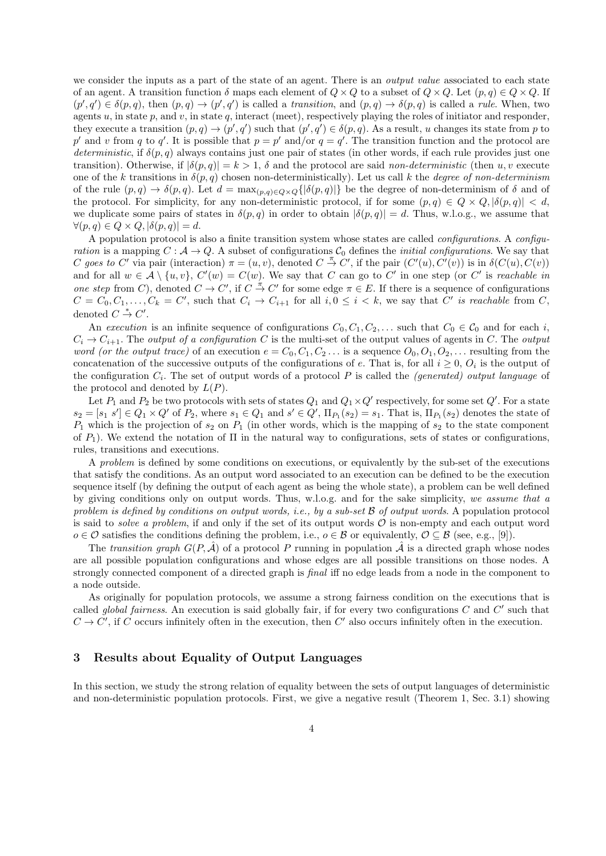we consider the inputs as a part of the state of an agent. There is an *output value* associated to each state of an agent. A transition function  $\delta$  maps each element of  $Q \times Q$  to a subset of  $Q \times Q$ . Let  $(p,q) \in Q \times Q$ . If  $(p',q')\in\delta(p,q)$ , then  $(p,q)\to(p',q')$  is called a *transition*, and  $(p,q)\to\delta(p,q)$  is called a *rule*. When, two agents  $u$ , in state  $p$ , and  $v$ , in state  $q$ , interact (meet), respectively playing the roles of initiator and responder, they execute a transition  $(p, q) \to (p', q')$  such that  $(p', q') \in \delta(p, q)$ . As a result, u changes its state from p to *p*<sup>'</sup> and *v* from *q* to *q*<sup>'</sup>. It is possible that  $p = p'$  and/or  $q = q'$ . The transition function and the protocol are *deterministic*, if  $\delta(p, q)$  always contains just one pair of states (in other words, if each rule provides just one transition). Otherwise, if  $|\delta(p,q)| = k > 1$ ,  $\delta$  and the protocol are said *non-deterministic* (then *u, v* execute one of the *k* transitions in  $\delta(p,q)$  chosen non-deterministically). Let us call *k* the *degree of non-determinism* of the rule  $(p, q) \to \delta(p, q)$ . Let  $d = \max_{(p,q) \in Q \times Q} \{ |\delta(p,q)| \}$  be the degree of non-determinism of  $\delta$  and of the protocol. For simplicity, for any non-deterministic protocol, if for some  $(p,q) \in Q \times Q, |\delta(p,q)| < d$ , we duplicate some pairs of states in  $\delta(p,q)$  in order to obtain  $|\delta(p,q)| = d$ . Thus, w.l.o.g., we assume that  $\forall (p, q) \in Q \times Q, |\delta(p, q)| = d.$ 

A population protocol is also a finite transition system whose states are called *configurations*. A *configuration* is a mapping  $C : \mathcal{A} \to Q$ . A subset of configurations  $C_0$  defines the *initial configurations*. We say that C goes to C' via pair (interaction)  $\pi = (u, v)$ , denoted  $C \stackrel{\pi}{\to} C'$ , if the pair  $(C'(u), C'(v))$  is in  $\delta(C(u), C(v))$ and for all  $w \in A \setminus \{u, v\}$ ,  $C'(w) = C(w)$ . We say that *C* can go to *C'* in one step (or *C'* is *reachable in one step* from *C*), denoted  $C \to C'$ , if  $C \stackrel{\pi}{\to} C'$  for some edge  $\pi \in E$ . If there is a sequence of configurations  $C = C_0, C_1, \ldots, C_k = C'$ , such that  $C_i \rightarrow C_{i+1}$  for all  $i, 0 \leq i \leq k$ , we say that C' is reachable from C, denoted  $C \stackrel{*}{\rightarrow} C'$ .

An *execution* is an infinite sequence of configurations  $C_0, C_1, C_2, \ldots$  such that  $C_0 \in \mathcal{C}_0$  and for each *i*,  $C_i \rightarrow C_{i+1}$ . The *output of a configuration C* is the multi-set of the output values of agents in *C*. The *output word (or the output trace)* of an execution  $e = C_0, C_1, C_2, \ldots$  is a sequence  $O_0, O_1, O_2, \ldots$  resulting from the concatenation of the successive outputs of the configurations of *e*. That is, for all  $i \geq 0$ ,  $O_i$  is the output of the configuration *C<sup>i</sup>* . The set of output words of a protocol *P* is called the *(generated) output language* of the protocol and denoted by  $L(P)$ .

Let  $P_1$  and  $P_2$  be two protocols with sets of states  $Q_1$  and  $Q_1 \times Q'$  respectively, for some set  $Q'$ . For a state  $s_2 = [s_1 \ s'] \in Q_1 \times Q'$  of  $P_2$ , where  $s_1 \in Q_1$  and  $s' \in Q'$ ,  $\Pi_{P_1}(s_2) = s_1$ . That is,  $\Pi_{P_1}(s_2)$  denotes the state of *P*<sup>1</sup> which is the projection of *s*<sup>2</sup> on *P*<sup>1</sup> (in other words, which is the mapping of *s*<sup>2</sup> to the state component of  $P_1$ ). We extend the notation of  $\Pi$  in the natural way to configurations, sets of states or configurations, rules, transitions and executions.

A *problem* is defined by some conditions on executions, or equivalently by the sub-set of the executions that satisfy the conditions. As an output word associated to an execution can be defined to be the execution sequence itself (by defining the output of each agent as being the whole state), a problem can be well defined by giving conditions only on output words. Thus, w.l.o.g. and for the sake simplicity, *we assume that a problem is defined by conditions on output words, i.e., by a sub-set B of output words*. A population protocol is said to *solve a problem*, if and only if the set of its output words  $\mathcal O$  is non-empty and each output word *o*  $\in \mathcal{O}$  satisfies the conditions defining the problem, i.e., *o*  $\in \mathcal{B}$  or equivalently,  $\mathcal{O} \subseteq \mathcal{B}$  (see, e.g., [9]).

The *transition graph*  $G(P, \mathcal{A})$  of a protocol P running in population  $\mathcal{A}$  is a directed graph whose nodes are all possible population configurations and whose edges are all possible transitions on those nodes. A strongly connected component of a directed graph is *final* iff no edge leads from a node in the component to a node outside.

As originally for population protocols, we assume a strong fairness condition on the executions that is called *global fairness*. An execution is said globally fair, if for every two configurations *C* and *C ′* such that  $C \rightarrow C'$ , if *C* occurs infinitely often in the execution, then  $C'$  also occurs infinitely often in the execution.

## **3 Results about Equality of Output Languages**

In this section, we study the strong relation of equality between the sets of output languages of deterministic and non-deterministic population protocols. First, we give a negative result (Theorem 1, Sec. 3.1) showing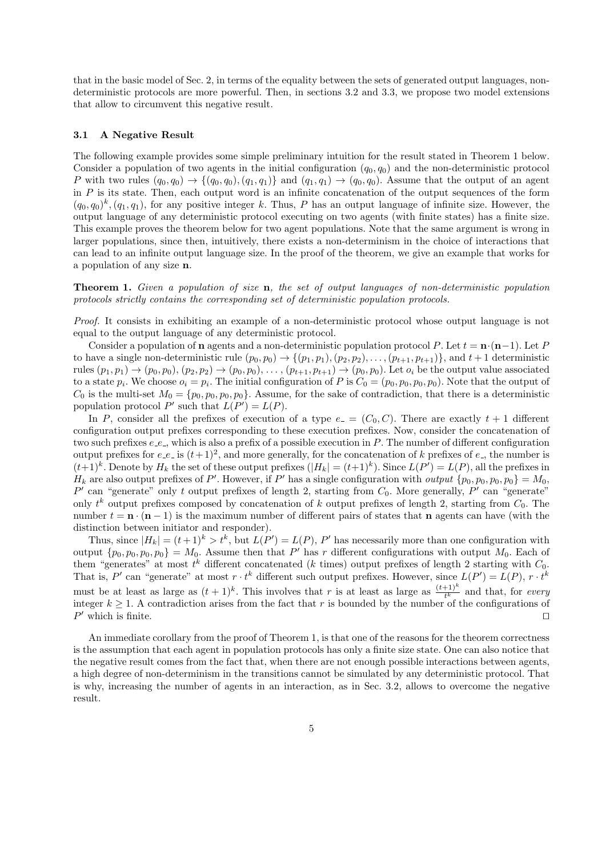that in the basic model of Sec. 2, in terms of the equality between the sets of generated output languages, nondeterministic protocols are more powerful. Then, in sections 3.2 and 3.3, we propose two model extensions that allow to circumvent this negative result.

#### **3.1 A Negative Result**

The following example provides some simple preliminary intuition for the result stated in Theorem 1 below. Consider a population of two agents in the initial configuration  $(q_0, q_0)$  and the non-deterministic protocol *P* with two rules  $(q_0, q_0) \rightarrow \{(q_0, q_0), (q_1, q_1)\}\$  and  $(q_1, q_1) \rightarrow (q_0, q_0)$ . Assume that the output of an agent in *P* is its state. Then, each output word is an infinite concatenation of the output sequences of the form  $(q_0, q_0)^k$ ,  $(q_1, q_1)$ , for any positive integer *k*. Thus, *P* has an output language of infinite size. However, the output language of any deterministic protocol executing on two agents (with finite states) has a finite size. This example proves the theorem below for two agent populations. Note that the same argument is wrong in larger populations, since then, intuitively, there exists a non-determinism in the choice of interactions that can lead to an infinite output language size. In the proof of the theorem, we give an example that works for a population of any size **n**.

**Theorem 1.** *Given a population of size* **n***, the set of output languages of non-deterministic population protocols strictly contains the corresponding set of deterministic population protocols.*

*Proof.* It consists in exhibiting an example of a non-deterministic protocol whose output language is not equal to the output language of any deterministic protocol.

Consider a population of **n** agents and a non-deterministic population protocol *P*. Let  $t = \mathbf{n} \cdot (\mathbf{n} - 1)$ . Let *P* to have a single non-deterministic rule  $(p_0, p_0) \rightarrow \{(p_1, p_1), (p_2, p_2), \ldots, (p_{t+1}, p_{t+1})\}$ , and  $t+1$  deterministic rules  $(p_1, p_1) \rightarrow (p_0, p_0), (p_2, p_2) \rightarrow (p_0, p_0), \ldots, (p_{t+1}, p_{t+1}) \rightarrow (p_0, p_0)$ . Let  $o_i$  be the output value associated to a state  $p_i$ . We choose  $o_i = p_i$ . The initial configuration of P is  $C_0 = (p_0, p_0, p_0, p_0)$ . Note that the output of  $C_0$  is the multi-set  $M_0 = \{p_0, p_0, p_0, p_0\}$ . Assume, for the sake of contradiction, that there is a deterministic population protocol  $P'$  such that  $L(P') = L(P)$ .

In *P*, consider all the prefixes of execution of a type  $e = (C_0, C)$ . There are exactly  $t + 1$  different configuration output prefixes corresponding to these execution prefixes. Now, consider the concatenation of two such prefixes  $e_{\textit{-}e_{\textit{-}}}$ , which is also a prefix of a possible execution in *P*. The number of different configuration output prefixes for  $e_{\text{-}}e_{\text{-}}$  is  $(t+1)^2$ , and more generally, for the concatenation of k prefixes of  $e_{\text{-}}$ , the number is  $(t+1)^k$ . Denote by  $H_k$  the set of these output prefixes  $(|H_k| = (t+1)^k$ . Since  $L(P') = L(P)$ , all the prefixes in *H*<sub>k</sub> are also output prefixes of *P*'. However, if *P*' has a single configuration with *output*  $\{p_0, p_0, p_0, p_0\} = M_0$ ,  $P'$  can "generate" only *t* output prefixes of length 2, starting from  $C_0$ . More generally,  $P'$  can "generate" only *t <sup>k</sup>* output prefixes composed by concatenation of *k* output prefixes of length 2, starting from *C*0. The number  $t = \mathbf{n} \cdot (\mathbf{n} - 1)$  is the maximum number of different pairs of states that **n** agents can have (with the distinction between initiator and responder).

Thus, since  $|H_k| = (t+1)^k > t^k$ , but  $L(P') = L(P)$ , P' has necessarily more than one configuration with output  $\{p_0, p_0, p_0\} = M_0$ . Assume then that P' has r different configurations with output  $M_0$ . Each of them "generates" at most  $t^k$  different concatenated ( $k$  times) output prefixes of length 2 starting with  $C_0$ . That is,  $P'$  can "generate" at most  $r \cdot t^k$  different such output prefixes. However, since  $L(P') = L(P)$ ,  $r \cdot t^k$ must be at least as large as  $(t+1)^k$ . This involves that *r* is at least as large as  $\frac{(t+1)^k}{t^k}$  and that, for *every* integer  $k \geq 1$ . A contradiction arises from the fact that *r* is bounded by the number of the configurations of *P*<sup> $'$ </sup> which is finite.  $□$ 

An immediate corollary from the proof of Theorem 1, is that one of the reasons for the theorem correctness is the assumption that each agent in population protocols has only a finite size state. One can also notice that the negative result comes from the fact that, when there are not enough possible interactions between agents, a high degree of non-determinism in the transitions cannot be simulated by any deterministic protocol. That is why, increasing the number of agents in an interaction, as in Sec. 3.2, allows to overcome the negative result.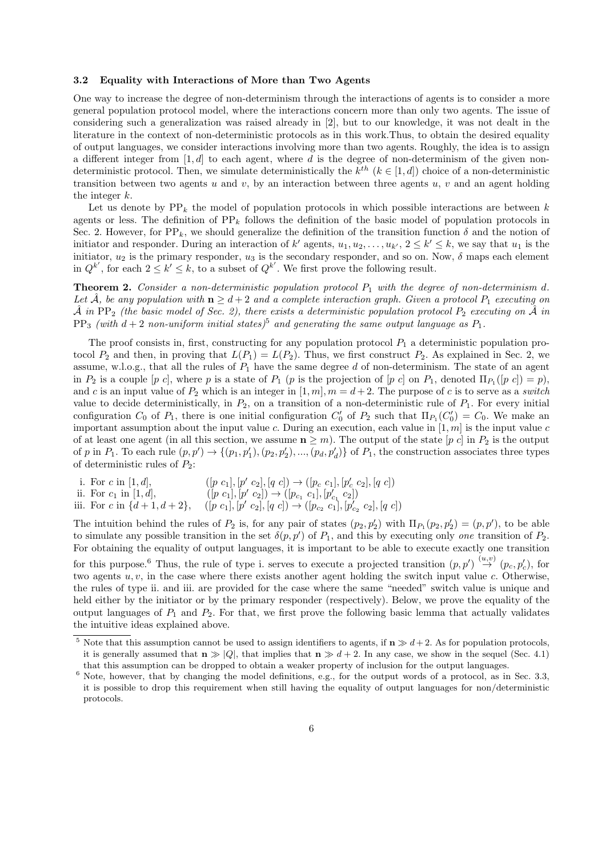### **3.2 Equality with Interactions of More than Two Agents**

One way to increase the degree of non-determinism through the interactions of agents is to consider a more general population protocol model, where the interactions concern more than only two agents. The issue of considering such a generalization was raised already in [2], but to our knowledge, it was not dealt in the literature in the context of non-deterministic protocols as in this work.Thus, to obtain the desired equality of output languages, we consider interactions involving more than two agents. Roughly, the idea is to assign a different integer from [1*, d*] to each agent, where *d* is the degree of non-determinism of the given nondeterministic protocol. Then, we simulate deterministically the  $k^{th}$   $(k \in [1, d])$  choice of a non-deterministic transition between two agents *u* and *v*, by an interaction between three agents *u*, *v* and an agent holding the integer *k*.

Let us denote by  $PP_k$  the model of population protocols in which possible interactions are between  $k$ agents or less. The definition of  $PP_k$  follows the definition of the basic model of population protocols in Sec. 2. However, for  $PP_k$ , we should generalize the definition of the transition function  $\delta$  and the notion of initiator and responder. During an interaction of  $k'$  agents,  $u_1, u_2, \ldots, u_{k'}$ ,  $2 \leq k' \leq k$ , we say that  $u_1$  is the initiator,  $u_2$  is the primary responder,  $u_3$  is the secondary responder, and so on. Now,  $\delta$  maps each element in  $Q^{k'}$ , for each  $2 \leq k' \leq k$ , to a subset of  $Q^{k'}$ . We first prove the following result.

**Theorem 2.** *Consider a non-deterministic population protocol P*<sup>1</sup> *with the degree of non-determinism d. Let*  $\hat{A}$ *, be any population with*  $n \geq d+2$  *and a complete interaction graph. Given a protocol*  $P_1$  *executing on*  $\hat{A}$  *in* PP<sub>2</sub> (the basic model of Sec. 2), there exists a deterministic population protocol  $P_2$  executing on  $\hat{A}$  in  $PP_3$  *(with*  $d + 2$  *non-uniform initial states)*<sup>5</sup> *and generating the same output language as*  $P_1$ .

The proof consists in, first, constructing for any population protocol  $P_1$  a deterministic population protocol  $P_2$  and then, in proving that  $L(P_1) = L(P_2)$ . Thus, we first construct  $P_2$ . As explained in Sec. 2, we assume, w.l.o.g., that all the rules of *P*<sup>1</sup> have the same degree *d* of non-determinism. The state of an agent in  $P_2$  is a couple  $[p \ c]$ , where  $p$  is a state of  $P_1$   $(p \text{ is the projection of } [p \ c]$  on  $P_1$ , denoted  $\Pi_{P_1}([p \ c]) = p$ , and *c* is an input value of  $P_2$  which is an integer in  $[1, m]$ ,  $m = d + 2$ . The purpose of *c* is to serve as a *switch* value to decide deterministically, in  $P_2$ , on a transition of a non-deterministic rule of  $P_1$ . For every initial configuration  $C_0$  of  $P_1$ , there is one initial configuration  $C'_0$  of  $P_2$  such that  $\Pi_{P_1}(C'_0) = C_0$ . We make an important assumption about the input value *c*. During an execution, each value in [1*, m*] is the input value *c* of at least one agent (in all this section, we assume  $n \geq m$ ). The output of the state  $[p \ c]$  in  $P_2$  is the output of p in  $P_1$ . To each rule  $(p, p') \rightarrow \{(p_1, p'_1), (p_2, p'_2), ..., (p_d, p'_d)\}\$  of  $P_1$ , the construction associates three types of deterministic rules of *P*2:

- i. For *c* in [1, *d*],  $[p' c_1]$ ,  $[p' c_2]$ ,  $[q c]$ )  $\rightarrow$   $([p_c c_1]$ ,  $[p'_c c_2]$ ,  $[q c]$ )
- ii. For  $c_1$  in [1, d],  $[p' c_1]$ ,  $[p' c_2]$ )  $\rightarrow ( [p_{c_1} c_1], [p'_{c_1} c_2])$
- iii. For c in  $\{d+1, d+2\}$ ,  $([p \ c_1], [p' \ c_2], [q \ c]) \rightarrow ([p_{c_2} \ c_1], [p'_{c_2} \ c_2], [q \ c])$

The intuition behind the rules of  $P_2$  is, for any pair of states  $(p_2, p'_2)$  with  $\Pi_{P_1}(p_2, p'_2) = (p, p')$ , to be able to simulate any possible transition in the set  $\delta(p, p')$  of  $P_1$ , and this by executing only *one* transition of  $P_2$ . For obtaining the equality of output languages, it is important to be able to execute exactly one transition for this purpose.<sup>6</sup> Thus, the rule of type i. serves to execute a projected transition  $(p, p') \stackrel{(u,v)}{\rightarrow} (p_c, p'_c)$ , for two agents *u, v*, in the case where there exists another agent holding the switch input value *c*. Otherwise, the rules of type ii. and iii. are provided for the case where the same "needed" switch value is unique and held either by the initiator or by the primary responder (respectively). Below, we prove the equality of the output languages of  $P_1$  and  $P_2$ . For that, we first prove the following basic lemma that actually validates

the intuitive ideas explained above.

<sup>&</sup>lt;sup>5</sup> Note that this assumption cannot be used to assign identifiers to agents, if  $\mathbf{n} \gg d+2$ . As for population protocols, it is generally assumed that  $\mathbf{n} \gg |Q|$ , that implies that  $\mathbf{n} \gg d+2$ . In any case, we show in the sequel (Sec. 4.1) that this assumption can be dropped to obtain a weaker property of inclusion for the output languages.

 $6$  Note, however, that by changing the model definitions, e.g., for the output words of a protocol, as in Sec. 3.3, it is possible to drop this requirement when still having the equality of output languages for non/deterministic protocols.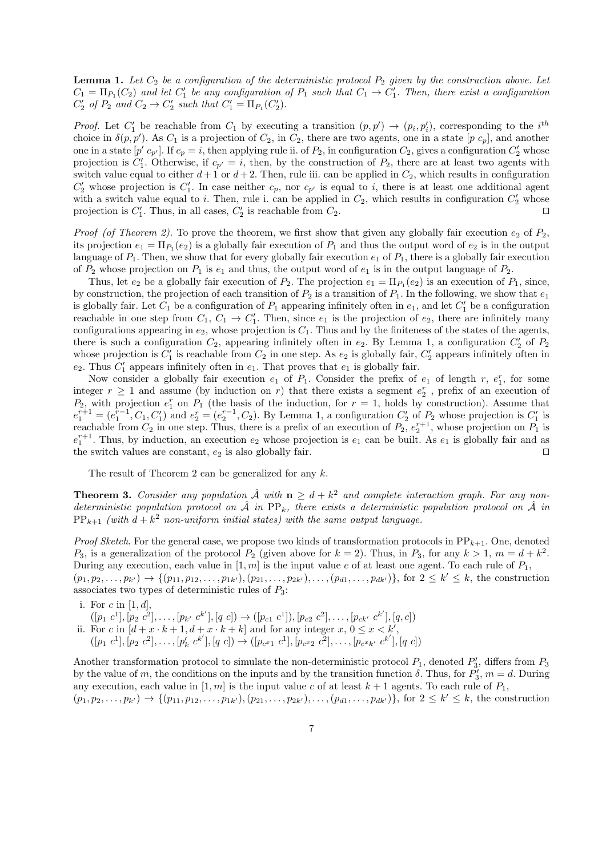**Lemma 1.** *Let C*<sup>2</sup> *be a configuration of the deterministic protocol P*<sup>2</sup> *given by the construction above. Let*  $C_1 = \Pi_{P_1}(C_2)$  and let  $C'_1$  be any configuration of  $P_1$  such that  $C_1 \to C'_1$ . Then, there exist a configuration  $C'_2$  *of*  $P_2$  *and*  $C_2 \to C'_2$  *such that*  $C'_1 = \Pi_{P_1}(C'_2)$ *.* 

*Proof.* Let  $C'_1$  be reachable from  $C_1$  by executing a transition  $(p, p') \rightarrow (p_i, p'_i)$ , corresponding to the *i*<sup>th</sup> choice in  $\delta(p, p')$ . As  $C_1$  is a projection of  $C_2$ , in  $C_2$ , there are two agents, one in a state  $[p \ c_p]$ , and another one in a state  $[p' c_{p'}]$ . If  $c_p = i$ , then applying rule ii. of  $P_2$ , in configuration  $C_2$ , gives a configuration  $C'_2$  whose projection is  $C'_{1}$ . Otherwise, if  $c_{p'} = i$ , then, by the construction of  $P_{2}$ , there are at least two agents with switch value equal to either  $d+1$  or  $d+2$ . Then, rule iii. can be applied in  $C_2$ , which results in configuration  $C'_{2}$  whose projection is  $C'_{1}$ . In case neither  $c_{p}$ , nor  $c_{p'}$  is equal to *i*, there is at least one additional agent with a switch value equal to *i*. Then, rule i. can be applied in  $C_2$ , which results in configuration  $C'_2$  whose projection is  $C'_1$ . Thus, in all cases,  $C'_2$  is reachable from  $C_2$ .  $\Box$ 

*Proof* (of Theorem 2). To prove the theorem, we first show that given any globally fair execution  $e_2$  of  $P_2$ , its projection  $e_1 = \Pi_{P_1}(e_2)$  is a globally fair execution of  $P_1$  and thus the output word of  $e_2$  is in the output language of  $P_1$ . Then, we show that for every globally fair execution  $e_1$  of  $P_1$ , there is a globally fair execution of  $P_2$  whose projection on  $P_1$  is  $e_1$  and thus, the output word of  $e_1$  is in the output language of  $P_2$ .

Thus, let  $e_2$  be a globally fair execution of  $P_2$ . The projection  $e_1 = \Pi_{P_1}(e_2)$  is an execution of  $P_1$ , since, by construction, the projection of each transition of  $P_2$  is a transition of  $P_1$ . In the following, we show that  $e_1$ is globally fair. Let  $C_1$  be a configuration of  $P_1$  appearing infinitely often in  $e_1$ , and let  $C'_1$  be a configuration reachable in one step from  $C_1$ ,  $C_1 \rightarrow C'_1$ . Then, since  $e_1$  is the projection of  $e_2$ , there are infinitely many configurations appearing in  $e_2$ , whose projection is  $C_1$ . Thus and by the finiteness of the states of the agents, there is such a configuration  $C_2$ , appearing infinitely often in  $e_2$ . By Lemma 1, a configuration  $C_2'$  of  $P_2$ whose projection is  $C'_1$  is reachable from  $C_2$  in one step. As  $e_2$  is globally fair,  $C'_2$  appears infinitely often in  $e_2$ . Thus  $C'_1$  appears infinitely often in  $e_1$ . That proves that  $e_1$  is globally fair.

Now consider a globally fair execution  $e_1$  of  $P_1$ . Consider the prefix of  $e_1$  of length  $r$ ,  $e_1^r$ , for some integer  $r \geq 1$  and assume (by induction on *r*) that there exists a segment  $e_2^r$ , prefix of an execution of  $P_2$ , with projection  $e_1^r$  on  $P_1$  (the basis of the induction, for  $r = 1$ , holds by construction). Assume that  $e_1^{r+1} = (e_1^{r-1}, C_1, C_1')$  and  $e_2^r = (e_2^{r-1}, C_2)$ . By Lemma 1, a configuration  $C_2'$  of  $P_2$  whose projection is  $C_1'$  is reachable from  $C_2$  in one step. Thus, there is a prefix of an execution of  $P_2$ ,  $e_2^{r+1}$ , whose projection on  $P_1$  is  $e_1^{r+1}$ . Thus, by induction, an execution  $e_2$  whose projection is  $e_1$  can be built. As  $e_1$  is globally fair and as the switch values are constant,  $e_2$  is also globally fair.  $□$ 

The result of Theorem 2 can be generalized for any *k*.

**Theorem 3.** *Consider any population*  $\hat{\mathcal{A}}$  *with*  $\mathbf{n} \geq d + k^2$  *and complete interaction graph. For any non*deterministic population protocol on  $\hat{A}$  in PP<sub>k</sub>, there exists a deterministic population protocol on  $\hat{A}$  in  $PP_{k+1}$  *(with*  $d + k^2$  non-uniform initial states) with the same output language.

*Proof Sketch*. For the general case, we propose two kinds of transformation protocols in PP*k*+1. One, denoted *P*<sub>3</sub>, is a generalization of the protocol *P*<sub>2</sub> (given above for  $k = 2$ ). Thus, in *P*<sub>3</sub>, for any  $k > 1$ ,  $m = d + k<sup>2</sup>$ . During any execution, each value in  $[1, m]$  is the input value *c* of at least one agent. To each rule of  $P_1$ ,

 $(p_1, p_2, \ldots, p_{k'}) \rightarrow \{(p_{11}, p_{12}, \ldots, p_{1k'}), (p_{21}, \ldots, p_{2k'}), \ldots, (p_{d1}, \ldots, p_{dk'})\}\$ , for  $2 \leq k' \leq k$ , the construction associates two types of deterministic rules of *P*3:

- i. For *c* in [1*, d*],
- $([p_1 \ c^1], [p_2 \ c^2], \ldots, [p_{k'} \ c^{k'}], [q \ c]) \rightarrow ([p_{c1} \ c^1]), [p_{c2} \ c^2], \ldots, [p_{ck'} \ c^{k'}], [q, c])$
- ii. For *c* in  $[d + x \cdot k + 1, d + x \cdot k + k]$  and for any integer  $x, 0 \le x \le k'$ ,
- $([p_1 \ c^1], [p_2 \ c^2], \ldots, [p'_k \ c^k'], [q \ c]) \rightarrow ([p_{c^{x_1}} \ c^1], [p_{c^{x_2}} \ c^2], \ldots, [p_{c^{x_k'}} \ c^k'], [q \ c])$

Another transformation protocol to simulate the non-deterministic protocol  $P_1$ , denoted  $P'_3$ , differs from  $P_3$ by the value of *m*, the conditions on the inputs and by the transition function  $\delta$ . Thus, for  $P'_3$ ,  $m = d$ . During any execution, each value in  $[1, m]$  is the input value c of at least  $k + 1$  agents. To each rule of  $P_1$ ,  $(p_1, p_2, \ldots, p_{k'}) \rightarrow \{(p_{11}, p_{12}, \ldots, p_{1k'}), (p_{21}, \ldots, p_{2k'}), \ldots, (p_{d1}, \ldots, p_{dk'})\}\$ , for  $2 \leq k' \leq k$ , the construction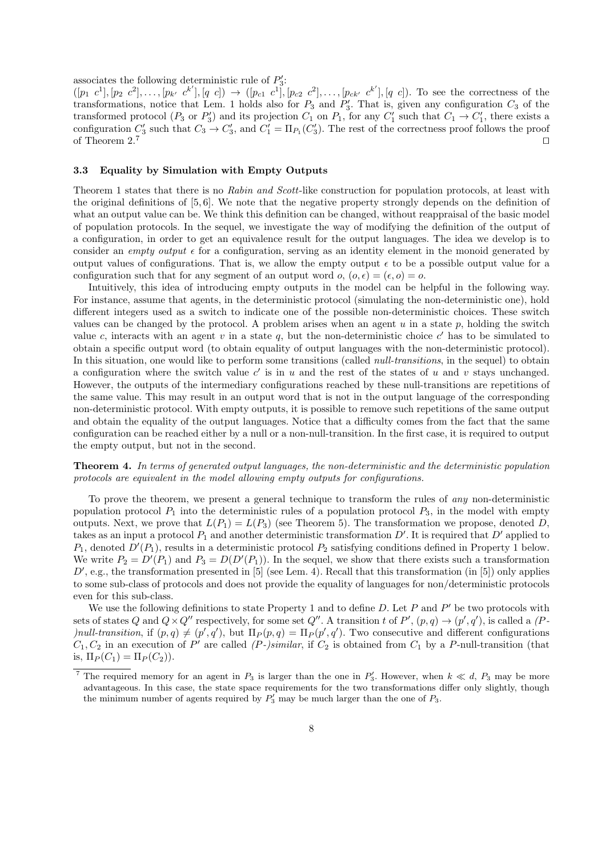associates the following deterministic rule of  $P'_{3}$ :

 $([p_1 \ c^1], [p_2 \ c^2], \ldots, [p_{k'} \ c^{k'}], [q \ c]) \rightarrow ([p_{c1} \ c^1], [p_{c2} \ c^2], \ldots, [p_{ck'} \ c^{k'}], [q \ c])$ . To see the correctness of the transformations, notice that Lem. 1 holds also for  $P_3$  and  $P'_3$ . That is, given any configuration  $C_3$  of the transformed protocol  $(P_3 \text{ or } P'_3)$  and its projection  $C_1$  on  $P_1$ , for any  $C'_1$  such that  $C_1 \rightarrow C'_1$ , there exists a configuration  $C'_3$  such that  $C_3 \to C'_3$ , and  $C'_1 = \Pi_{P_1}(C'_3)$ . The rest of the correctness proof follows the proof of Theorem 2.<sup>7</sup> *⊓⊔*

### **3.3 Equality by Simulation with Empty Outputs**

Theorem 1 states that there is no *Rabin and Scott*-like construction for population protocols, at least with the original definitions of [5, 6]. We note that the negative property strongly depends on the definition of what an output value can be. We think this definition can be changed, without reappraisal of the basic model of population protocols. In the sequel, we investigate the way of modifying the definition of the output of a configuration, in order to get an equivalence result for the output languages. The idea we develop is to consider an *empty output*  $\epsilon$  for a configuration, serving as an identity element in the monoid generated by output values of configurations. That is, we allow the empty output  $\epsilon$  to be a possible output value for a configuration such that for any segment of an output word  $o, (o, \epsilon) = (\epsilon, o) = o$ .

Intuitively, this idea of introducing empty outputs in the model can be helpful in the following way. For instance, assume that agents, in the deterministic protocol (simulating the non-deterministic one), hold different integers used as a switch to indicate one of the possible non-deterministic choices. These switch values can be changed by the protocol. A problem arises when an agent  $u$  in a state  $p$ , holding the switch value *c*, interacts with an agent *v* in a state *q*, but the non-deterministic choice  $c'$  has to be simulated to obtain a specific output word (to obtain equality of output languages with the non-deterministic protocol). In this situation, one would like to perform some transitions (called *null-transitions*, in the sequel) to obtain a configuration where the switch value  $c'$  is in  $u$  and the rest of the states of  $u$  and  $v$  stays unchanged. However, the outputs of the intermediary configurations reached by these null-transitions are repetitions of the same value. This may result in an output word that is not in the output language of the corresponding non-deterministic protocol. With empty outputs, it is possible to remove such repetitions of the same output and obtain the equality of the output languages. Notice that a difficulty comes from the fact that the same configuration can be reached either by a null or a non-null-transition. In the first case, it is required to output the empty output, but not in the second.

**Theorem 4.** *In terms of generated output languages, the non-deterministic and the deterministic population protocols are equivalent in the model allowing empty outputs for configurations.*

To prove the theorem, we present a general technique to transform the rules of *any* non-deterministic population protocol  $P_1$  into the deterministic rules of a population protocol  $P_3$ , in the model with empty outputs. Next, we prove that  $L(P_1) = L(P_3)$  (see Theorem 5). The transformation we propose, denoted *D*, takes as an input a protocol  $P_1$  and another deterministic transformation  $D'$ . It is required that  $D'$  applied to *P*1, denoted *D′* (*P*1), results in a deterministic protocol *P*<sup>2</sup> satisfying conditions defined in Property 1 below. We write  $P_2 = D'(P_1)$  and  $P_3 = D(D'(P_1))$ . In the sequel, we show that there exists such a transformation  $D'$ , e.g., the transformation presented in [5] (see Lem. 4). Recall that this transformation (in [5]) only applies to some sub-class of protocols and does not provide the equality of languages for non/deterministic protocols even for this sub-class.

We use the following definitions to state Property 1 and to define *D*. Let *P* and *P ′* be two protocols with sets of states Q and  $Q \times Q''$  respectively, for some set Q''. A transition t of P',  $(p,q) \to (p',q')$ , is called a  $(P - q')$ *f*/*null-transition, if*  $(p, q) \neq (p', q')$ *, but*  $\Pi_P(p, q) = \Pi_P(p', q')$ *. Two consecutive and different configurations*  $C_1, C_2$  in an execution of *P*<sup> $\prime$ </sup> are called *(P-)similar*, if  $C_2$  is obtained from  $C_1$  by a *P*-null-transition (that is,  $\Pi_P(C_1) = \Pi_P(C_2)$ .

<sup>&</sup>lt;sup>7</sup> The required memory for an agent in  $P_3$  is larger than the one in  $P'_3$ . However, when  $k \ll d$ ,  $P_3$  may be more advantageous. In this case, the state space requirements for the two transformations differ only slightly, though the minimum number of agents required by  $P'_3$  may be much larger than the one of  $P_3$ .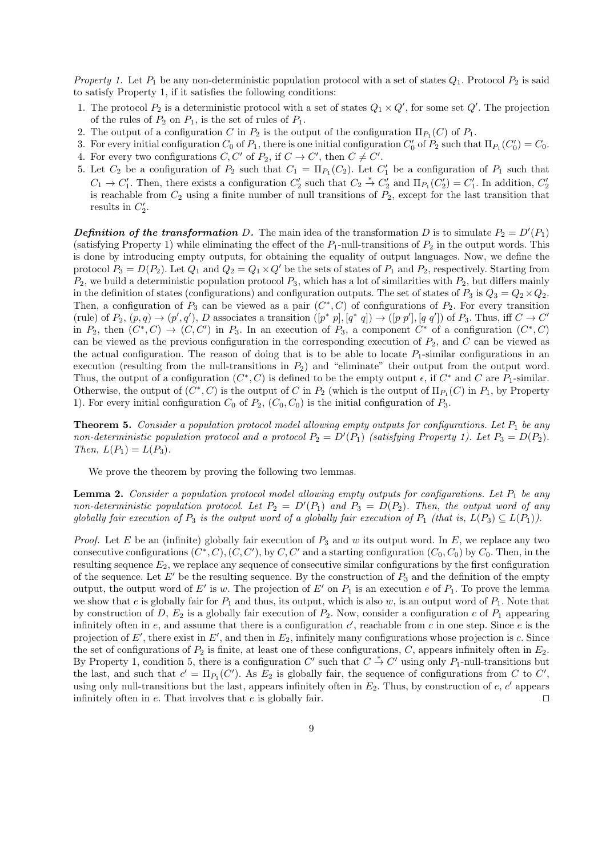*Property 1.* Let  $P_1$  be any non-deterministic population protocol with a set of states  $Q_1$ . Protocol  $P_2$  is said to satisfy Property 1, if it satisfies the following conditions:

- 1. The protocol  $P_2$  is a deterministic protocol with a set of states  $Q_1 \times Q'$ , for some set  $Q'$ . The projection of the rules of  $P_2$  on  $P_1$ , is the set of rules of  $P_1$ .
- 2. The output of a configuration *C* in  $P_2$  is the output of the configuration  $\Pi_{P_1}(C)$  of  $P_1$ .
- 3. For every initial configuration  $C_0$  of  $P_1$ , there is one initial configuration  $C'_0$  of  $P_2$  such that  $\Pi_{P_1}(C'_0) = C_0$ .
- 4. For every two configurations  $C, C'$  of  $P_2$ , if  $C \to C'$ , then  $C \neq C'$ .
- 5. Let  $C_2$  be a configuration of  $P_2$  such that  $C_1 = \Pi_{P_1}(C_2)$ . Let  $C'_1$  be a configuration of  $P_1$  such that  $C_1 \to C_1'$ . Then, there exists a configuration  $C_2'$  such that  $C_2 \overset{*}{\to} C_2'$  and  $\Pi_{P_1}(C_2') = C_1'$ . In addition,  $C_2'$ is reachable from  $C_2$  using a finite number of null transitions of  $P_2$ , except for the last transition that results in  $C_2'$ .

*Definition of the transformation D***.** The main idea of the transformation *D* is to simulate  $P_2 = D'(P_1)$ (satisfying Property 1) while eliminating the effect of the  $P_1$ -null-transitions of  $P_2$  in the output words. This is done by introducing empty outputs, for obtaining the equality of output languages. Now, we define the protocol  $P_3 = D(P_2)$ . Let  $Q_1$  and  $Q_2 = Q_1 \times Q'$  be the sets of states of  $P_1$  and  $P_2$ , respectively. Starting from *P*2, we build a deterministic population protocol *P*3, which has a lot of similarities with *P*2, but differs mainly in the definition of states (configurations) and configuration outputs. The set of states of  $P_3$  is  $Q_3 = Q_2 \times Q_2$ . Then, a configuration of  $P_3$  can be viewed as a pair  $(C^*, C)$  of configurations of  $P_2$ . For every transition (rule) of  $P_2$ ,  $(p,q) \rightarrow (p',q')$ , D associates a transition  $([p^* p], [q^* q]) \rightarrow ([p p'], [q q'])$  of  $P_3$ . Thus, iff  $C \rightarrow C'$ in  $P_2$ , then  $(C^*, C) \to (C, C')$  in  $P_3$ . In an execution of  $P_3$ , a component  $C^*$  of a configuration  $(C^*, C)$ can be viewed as the previous configuration in the corresponding execution of  $P_2$ , and  $C$  can be viewed as the actual configuration. The reason of doing that is to be able to locate  $P_1$ -similar configurations in an execution (resulting from the null-transitions in  $P_2$ ) and "eliminate" their output from the output word. Thus, the output of a configuration  $(C^*, C)$  is defined to be the empty output  $\epsilon$ , if  $C^*$  and  $C$  are  $P_1$ -similar. Otherwise, the output of  $(C^*, C)$  is the output of  $C$  in  $P_2$  (which is the output of  $\Pi_{P_1}(C)$  in  $P_1$ , by Property 1). For every initial configuration  $C_0$  of  $P_2$ ,  $(C_0, C_0)$  is the initial configuration of  $P_3$ .

**Theorem 5.** *Consider a population protocol model allowing empty outputs for configurations. Let P*<sup>1</sup> *be any non-deterministic population protocol and a protocol*  $P_2 = D'(P_1)$  *(satisfying Property 1). Let*  $P_3 = D(P_2)$ *. Then,*  $L(P_1) = L(P_3)$ *.* 

We prove the theorem by proving the following two lemmas.

**Lemma 2.** *Consider a population protocol model allowing empty outputs for configurations. Let P*<sup>1</sup> *be any non-deterministic population protocol. Let*  $P_2 = D'(P_1)$  *and*  $P_3 = D(P_2)$ *. Then, the output word of any globally fair execution of*  $P_3$  *is the output word of a globally fair execution of*  $P_1$  (*that is,*  $L(P_3) \subseteq L(P_1)$ *).* 

*Proof.* Let *E* be an (infinite) globally fair execution of *P*<sup>3</sup> and *w* its output word. In *E*, we replace any two consecutive configurations  $(C^*, C), (C, C')$ , by  $C, C'$  and a starting configuration  $(C_0, C_0)$  by  $C_0$ . Then, in the resulting sequence  $E_2$ , we replace any sequence of consecutive similar configurations by the first configuration of the sequence. Let *E′* be the resulting sequence. By the construction of *P*<sup>3</sup> and the definition of the empty output, the output word of *E'* is *w*. The projection of *E'* on  $P_1$  is an execution *e* of  $P_1$ . To prove the lemma we show that *e* is globally fair for  $P_1$  and thus, its output, which is also *w*, is an output word of  $P_1$ . Note that by construction of  $D$ ,  $E_2$  is a globally fair execution of  $P_2$ . Now, consider a configuration  $c$  of  $P_1$  appearing infinitely often in  $e$ , and assume that there is a configuration  $c'$ , reachable from  $c$  in one step. Since  $e$  is the projection of  $E'$ , there exist in  $E'$ , and then in  $E_2$ , infinitely many configurations whose projection is *c*. Since the set of configurations of  $P_2$  is finite, at least one of these configurations,  $C$ , appears infinitely often in  $E_2$ . By Property 1, condition 5, there is a configuration  $C'$  such that  $C \overset{*}{\to} C'$  using only  $P_1$ -null-transitions but the last, and such that  $c' = \Pi_{P_1}(C')$ . As  $E_2$  is globally fair, the sequence of configurations from *C* to *C'*, using only null-transitions but the last, appears infinitely often in  $E_2$ . Thus, by construction of  $e, c'$  appears infinitely often in *e*. That involves that *e* is globally fair. *⊓⊔*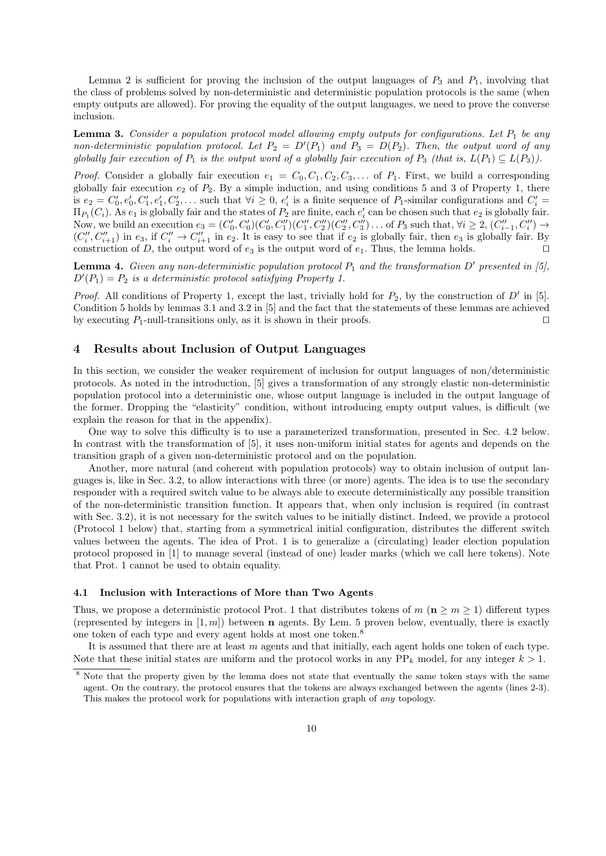Lemma 2 is sufficient for proving the inclusion of the output languages of  $P_3$  and  $P_1$ , involving that the class of problems solved by non-deterministic and deterministic population protocols is the same (when empty outputs are allowed). For proving the equality of the output languages, we need to prove the converse inclusion.

**Lemma 3.** *Consider a population protocol model allowing empty outputs for configurations. Let P*<sup>1</sup> *be any non-deterministic population protocol. Let*  $P_2 = D'(P_1)$  *and*  $P_3 = D(P_2)$ *. Then, the output word of any globally fair execution of*  $P_1$  *is the output word of a globally fair execution of*  $P_3$  *(that is,*  $L(P_1) \subseteq L(P_3)$ *).* 

*Proof.* Consider a globally fair execution  $e_1 = C_0, C_1, C_2, C_3, \ldots$  of  $P_1$ . First, we build a corresponding globally fair execution  $e_2$  of  $P_2$ . By a simple induction, and using conditions 5 and 3 of Property 1, there is  $e_2 = C'_0, e'_0, C'_1, e'_1, C'_2, \ldots$  such that  $\forall i \geq 0, e'_i$  is a finite sequence of  $P_1$ -similar configurations and  $C'_i$  $\Pi_{P_1}(C_i)$ . As  $e_1$  is globally fair and the states of  $P_2$  are finite, each  $e'_i$  can be chosen such that  $e_2$  is globally fair. Now, we build an execution  $e_3 = (C'_0, C'_0)(C'_0, C''_1)(C''_1, C''_2)(C''_2, C''_3) \dots$  of  $P_3$  such that,  $\forall i \geq 2, (C''_{i-1}, C''_i) \rightarrow$  $(C_i'', C_{i+1}'')$  in  $e_3$ , if  $C_i'' \to C_{i+1}''$  in  $e_2$ . It is easy to see that if  $e_2$  is globally fair, then  $e_3$  is globally fair. By construction of *D*, the output word of  $e_3$  is the output word of  $e_1$ . Thus, the lemma holds.  $\Box$ 

**Lemma 4.** *Given any non-deterministic population protocol P*<sup>1</sup> *and the transformation D′ presented in [5],*  $D'(P_1) = P_2$  *is a deterministic protocol satisfying Property 1.* 

*Proof.* All conditions of Property 1, except the last, trivially hold for *P*2, by the construction of *D′* in [5]. Condition 5 holds by lemmas 3.1 and 3.2 in [5] and the fact that the statements of these lemmas are achieved by executing *P*1-null-transitions only, as it is shown in their proofs. *⊓⊔*

## **4 Results about Inclusion of Output Languages**

In this section, we consider the weaker requirement of inclusion for output languages of non/deterministic protocols. As noted in the introduction, [5] gives a transformation of any strongly elastic non-deterministic population protocol into a deterministic one, whose output language is included in the output language of the former. Dropping the "elasticity" condition, without introducing empty output values, is difficult (we explain the reason for that in the appendix).

One way to solve this difficulty is to use a parameterized transformation, presented in Sec. 4.2 below. In contrast with the transformation of [5], it uses non-uniform initial states for agents and depends on the transition graph of a given non-deterministic protocol and on the population.

Another, more natural (and coherent with population protocols) way to obtain inclusion of output languages is, like in Sec. 3.2, to allow interactions with three (or more) agents. The idea is to use the secondary responder with a required switch value to be always able to execute deterministically any possible transition of the non-deterministic transition function. It appears that, when only inclusion is required (in contrast with Sec. 3.2), it is not necessary for the switch values to be initially distinct. Indeed, we provide a protocol (Protocol 1 below) that, starting from a symmetrical initial configuration, distributes the different switch values between the agents. The idea of Prot. 1 is to generalize a (circulating) leader election population protocol proposed in [1] to manage several (instead of one) leader marks (which we call here tokens). Note that Prot. 1 cannot be used to obtain equality.

### **4.1 Inclusion with Interactions of More than Two Agents**

Thus, we propose a deterministic protocol Prot. 1 that distributes tokens of  $m \, (\mathbf{n} \geq m \geq 1)$  different types (represented by integers in  $[1, m]$ ) between **n** agents. By Lem. 5 proven below, eventually, there is exactly one token of each type and every agent holds at most one token.<sup>8</sup>

It is assumed that there are at least *m* agents and that initially, each agent holds one token of each type. Note that these initial states are uniform and the protocol works in any  $PP_k$  model, for any integer  $k > 1$ .

<sup>&</sup>lt;sup>8</sup> Note that the property given by the lemma does not state that eventually the same token stays with the same agent. On the contrary, the protocol ensures that the tokens are always exchanged between the agents (lines 2-3). This makes the protocol work for populations with interaction graph of *any* topology.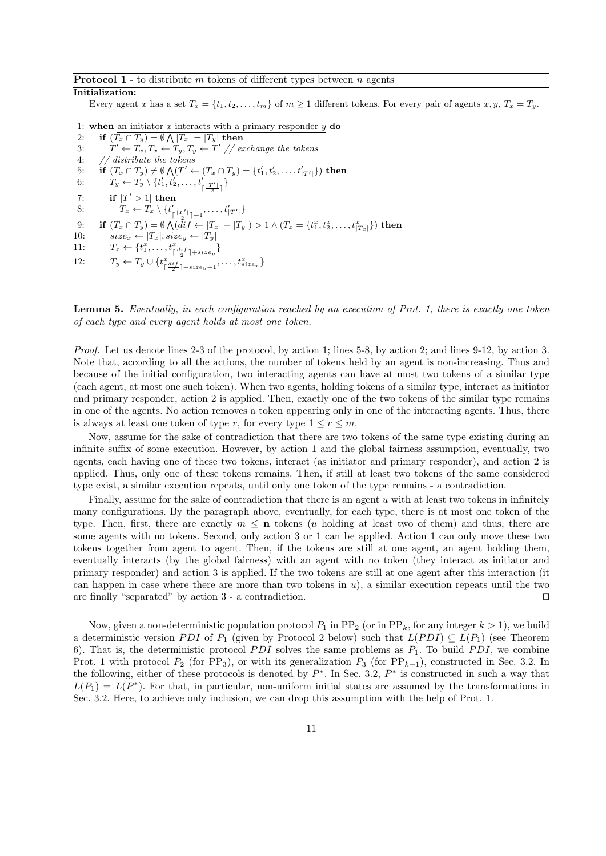#### **Protocol 1** - to distribute *m* tokens of different types between *n* agents

#### **Initialization:**

Every agent x has a set  $T_x = \{t_1, t_2, \ldots, t_m\}$  of  $m \ge 1$  different tokens. For every pair of agents  $x, y, T_x = T_y$ .

1: **when** an initiator *x* interacts with a primary responder *y* **do** 2: **if**  $(T_x \cap T_y) = \emptyset \bigwedge |T_x| = |T_y|$  then 3: *T*  $\mathcal{I}' \leftarrow T_x, T_x \leftarrow T_y, T_y \leftarrow T'$  // exchange the tokens 4: *// distribute the tokens* 5: **if**  $(T_x \cap T_y) \neq \emptyset \bigwedge (T' \leftarrow (T_x \cap T_y) = \{t'_1, t'_2, \dots, t'_{|T'|}\})$  then<br>6:  $T_y \leftarrow T_y \setminus \{t'_1, t'_2, \dots, t'_{\lceil \frac{|T'|}{2} \rceil}\}$ 7: **if**  $|T' > 1|$  **then** 8:  $T_x \leftarrow T_x \setminus \{t'_x\}$  $\{\frac{|T'|}{2}$   $|+1$ ,  $\dots$ ,  $t'_{|T'|}\}$ 9: if  $(T_x \cap T_y) = \emptyset \bigwedge (di f \leftarrow |T_x| - |T_y|) > 1 \wedge (T_x = \{t_1^x, t_2^x, \dots, t_{|T_x|}^x\})$  then 10:  $size_x \leftarrow |T_x|, size_y \leftarrow |T_y|$ 11:  $T_x \leftarrow \{t_1^x, \ldots, t_{\lceil \frac{dif}{2} \rceil + size_y}^x\}$ 12:  $T_y \leftarrow T_y \cup \{t^x_{\text{r}}\}$  $\{\frac{d}{dx}\left[\frac{di f}{2}\right]+size_{y}+1},\ldots,t_{size_{x}}^{x}\}$ 

**Lemma 5.** *Eventually, in each configuration reached by an execution of Prot. 1, there is exactly one token of each type and every agent holds at most one token.*

*Proof.* Let us denote lines 2-3 of the protocol, by action 1; lines 5-8, by action 2; and lines 9-12, by action 3. Note that, according to all the actions, the number of tokens held by an agent is non-increasing. Thus and because of the initial configuration, two interacting agents can have at most two tokens of a similar type (each agent, at most one such token). When two agents, holding tokens of a similar type, interact as initiator and primary responder, action 2 is applied. Then, exactly one of the two tokens of the similar type remains in one of the agents. No action removes a token appearing only in one of the interacting agents. Thus, there is always at least one token of type *r*, for every type  $1 \leq r \leq m$ .

Now, assume for the sake of contradiction that there are two tokens of the same type existing during an infinite suffix of some execution. However, by action 1 and the global fairness assumption, eventually, two agents, each having one of these two tokens, interact (as initiator and primary responder), and action 2 is applied. Thus, only one of these tokens remains. Then, if still at least two tokens of the same considered type exist, a similar execution repeats, until only one token of the type remains - a contradiction.

Finally, assume for the sake of contradiction that there is an agent *u* with at least two tokens in infinitely many configurations. By the paragraph above, eventually, for each type, there is at most one token of the type. Then, first, there are exactly  $m \leq n$  tokens (*u* holding at least two of them) and thus, there are some agents with no tokens. Second, only action 3 or 1 can be applied. Action 1 can only move these two tokens together from agent to agent. Then, if the tokens are still at one agent, an agent holding them, eventually interacts (by the global fairness) with an agent with no token (they interact as initiator and primary responder) and action 3 is applied. If the two tokens are still at one agent after this interaction (it can happen in case where there are more than two tokens in *u*), a similar execution repeats until the two are finally "separated" by action 3 - a contradiction. *⊓⊔*

Now, given a non-deterministic population protocol  $P_1$  in  $PP_2$  (or in  $PP_k$ , for any integer  $k > 1$ ), we build a deterministic version *PDI* of  $P_1$  (given by Protocol 2 below) such that  $L(PDI) \subseteq L(P_1)$  (see Theorem 6). That is, the deterministic protocol *PDI* solves the same problems as  $P_1$ . To build *PDI*, we combine Prot. 1 with protocol  $P_2$  (for PP<sub>3</sub>), or with its generalization  $P_3$  (for PP<sub>k+1</sub>), constructed in Sec. 3.2. In the following, either of these protocols is denoted by *P ∗* . In Sec. 3.2, *P ∗* is constructed in such a way that  $L(P_1) = L(P^*)$ . For that, in particular, non-uniform initial states are assumed by the transformations in Sec. 3.2. Here, to achieve only inclusion, we can drop this assumption with the help of Prot. 1.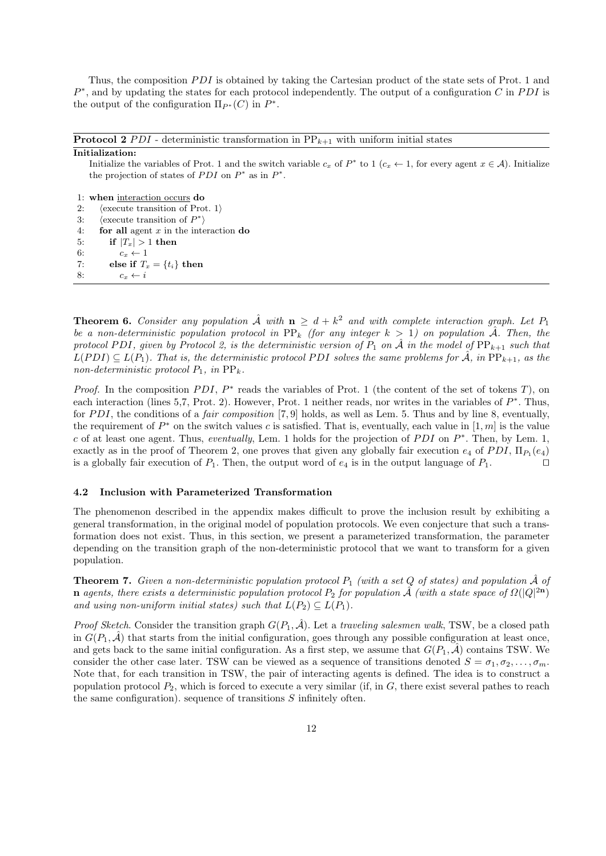Thus, the composition *PDI* is obtained by taking the Cartesian product of the state sets of Prot. 1 and *P*<sup>∗</sup>, and by updating the states for each protocol independently. The output of a configuration *C* in *PDI* is the output of the configuration  $\Pi_{P^*}(C)$  in  $P^*$ .

**Protocol 2** *PDI* - deterministic transformation in  $PP_{k+1}$  with uniform initial states

#### **Initialization:**

Initialize the variables of Prot. 1 and the switch variable  $c_x$  of  $P^*$  to 1 ( $c_x \leftarrow 1$ , for every agent  $x \in A$ ). Initialize the projection of states of *PDI* on  $P^*$  as in  $P^*$ .

1: **when** interaction occurs **do**

- 2: *⟨*execute transition of Prot. 1*⟩*
- 3: *⟨*execute transition of *P ∗ ⟩*
- 4: **for all** agent *x* in the interaction **do**
- 5: **if**  $|T_x| > 1$  then
- 6:  $c_x \leftarrow 1$ 7: **else if**  $T_x = \{t_i\}$  **then**
- 8:  $c_x \leftarrow i$

**Theorem 6.** *Consider any population*  $\hat{\mathcal{A}}$  *with*  $\mathbf{n} \geq d + k^2$  *and with complete interaction graph. Let*  $P_1$ *be a non-deterministic population protocol in*  $\text{PP}_k$  *(for any integer*  $k > 1$ *) on population*  $\hat{\mathcal{A}}$ *. Then, the protocol PDI*, given by Protocol 2, is the deterministic version of  $P_1$  on  $\hat{\mathcal{A}}$  in the model of  $PP_{k+1}$  such that  $L(PDI) \subseteq L(P_1)$ . That is, the deterministic protocol PDI solves the same problems for  $\hat{A}$ , in  $PP_{k+1}$ , as the *non-deterministic protocol*  $P_1$ *, in*  $\text{PP}_k$ *.* 

*Proof.* In the composition *PDI*,  $P^*$  reads the variables of Prot. 1 (the content of the set of tokens *T*), on each interaction (lines 5,7, Prot. 2). However, Prot. 1 neither reads, nor writes in the variables of *P ∗* . Thus, for *P DI*, the conditions of a *fair composition* [7, 9] holds, as well as Lem. 5. Thus and by line 8, eventually, the requirement of  $P^*$  on the switch values c is satisfied. That is, eventually, each value in  $[1, m]$  is the value *c* of at least one agent. Thus, *eventually*, Lem. 1 holds for the projection of *P DI* on *P ∗* . Then, by Lem. 1, exactly as in the proof of Theorem 2, one proves that given any globally fair execution  $e_4$  of  $PDI$ ,  $\Pi_{P_1}(e_4)$ is a globally fair execution of  $P_1$ . Then, the output word of  $e_4$  is in the output language of  $P_1$ .  $\Box$ 

#### **4.2 Inclusion with Parameterized Transformation**

The phenomenon described in the appendix makes difficult to prove the inclusion result by exhibiting a general transformation, in the original model of population protocols. We even conjecture that such a transformation does not exist. Thus, in this section, we present a parameterized transformation, the parameter depending on the transition graph of the non-deterministic protocol that we want to transform for a given population.

**Theorem 7.** *Given a non-deterministic population protocol*  $P_1$  *(with a set Q of states) and population*  $\hat{\mathcal{A}}$  *of* **n** *agents, there exists a deterministic population protocol*  $P_2$  *for population*  $\hat{A}$  (with a state space of  $\Omega(|Q|^{2n})$ *and using non-uniform initial states) such that*  $L(P_2) \subseteq L(P_1)$ *.* 

*Proof Sketch*. Consider the transition graph  $G(P_1, \hat{\mathcal{A}})$ . Let a *traveling salesmen walk*, TSW, be a closed path in  $G(P_1, \mathcal{A})$  that starts from the initial configuration, goes through any possible configuration at least once, and gets back to the same initial configuration. As a first step, we assume that  $G(P_1, \hat{\mathcal{A}})$  contains TSW. We consider the other case later. TSW can be viewed as a sequence of transitions denoted  $S = \sigma_1, \sigma_2, \ldots, \sigma_m$ . Note that, for each transition in TSW, the pair of interacting agents is defined. The idea is to construct a population protocol *P*2, which is forced to execute a very similar (if, in *G*, there exist several pathes to reach the same configuration). sequence of transitions *S* infinitely often.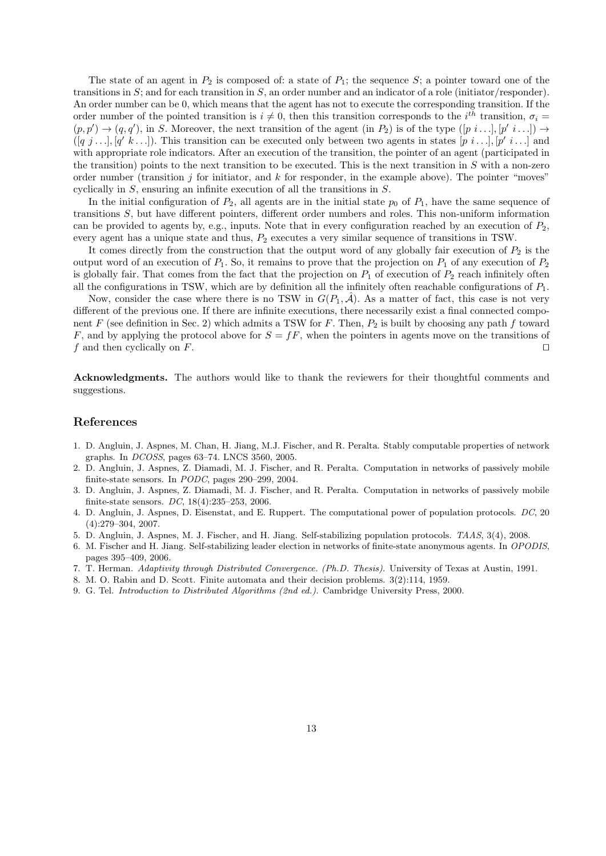The state of an agent in  $P_2$  is composed of: a state of  $P_1$ ; the sequence  $S$ ; a pointer toward one of the transitions in *S*; and for each transition in *S*, an order number and an indicator of a role (initiator/responder). An order number can be 0, which means that the agent has not to execute the corresponding transition. If the order number of the pointed transition is  $i \neq 0$ , then this transition corresponds to the  $i^{th}$  transition,  $\sigma_i =$  $(p, p') \rightarrow (q, q')$ , in *S*. Moreover, the next transition of the agent (in *P*<sub>2</sub>) is of the type  $([p \ i \dots], [p' \ i \dots]) \rightarrow$  $([q_j, \ldots], [q' k \ldots])$ . This transition can be executed only between two agents in states  $[p_i, \ldots], [p' i \ldots]$  and with appropriate role indicators. After an execution of the transition, the pointer of an agent (participated in the transition) points to the next transition to be executed. This is the next transition in *S* with a non-zero order number (transition  $j$  for initiator, and  $k$  for responder, in the example above). The pointer "moves" cyclically in *S*, ensuring an infinite execution of all the transitions in *S*.

In the initial configuration of  $P_2$ , all agents are in the initial state  $p_0$  of  $P_1$ , have the same sequence of transitions *S*, but have different pointers, different order numbers and roles. This non-uniform information can be provided to agents by, e.g., inputs. Note that in every configuration reached by an execution of  $P_2$ , every agent has a unique state and thus,  $P_2$  executes a very similar sequence of transitions in TSW.

It comes directly from the construction that the output word of any globally fair execution of  $P_2$  is the output word of an execution of  $P_1$ . So, it remains to prove that the projection on  $P_1$  of any execution of  $P_2$ is globally fair. That comes from the fact that the projection on  $P_1$  of execution of  $P_2$  reach infinitely often all the configurations in TSW, which are by definition all the infinitely often reachable configurations of  $P_1$ .

Now, consider the case where there is no TSW in  $G(P_1, \hat{\mathcal{A}})$ . As a matter of fact, this case is not very different of the previous one. If there are infinite executions, there necessarily exist a final connected component *F* (see definition in Sec. 2) which admits a TSW for *F*. Then, *P*<sup>2</sup> is built by choosing any path *f* toward *F*, and by applying the protocol above for *S* = *fF*, when the pointers in agents move on the transitions of *f* and then cyclically on *F*. *⊓⊔*

**Acknowledgments.** The authors would like to thank the reviewers for their thoughtful comments and suggestions.

## **References**

- 1. D. Angluin, J. Aspnes, M. Chan, H. Jiang, M.J. Fischer, and R. Peralta. Stably computable properties of network graphs. In *DCOSS*, pages 63–74. LNCS 3560, 2005.
- 2. D. Angluin, J. Aspnes, Z. Diamadi, M. J. Fischer, and R. Peralta. Computation in networks of passively mobile finite-state sensors. In *PODC*, pages 290–299, 2004.
- 3. D. Angluin, J. Aspnes, Z. Diamadi, M. J. Fischer, and R. Peralta. Computation in networks of passively mobile finite-state sensors. *DC*, 18(4):235–253, 2006.
- 4. D. Angluin, J. Aspnes, D. Eisenstat, and E. Ruppert. The computational power of population protocols. *DC*, 20 (4):279–304, 2007.
- 5. D. Angluin, J. Aspnes, M. J. Fischer, and H. Jiang. Self-stabilizing population protocols. *TAAS*, 3(4), 2008.
- 6. M. Fischer and H. Jiang. Self-stabilizing leader election in networks of finite-state anonymous agents. In *OPODIS*, pages 395–409, 2006.
- 7. T. Herman. *Adaptivity through Distributed Convergence. (Ph.D. Thesis)*. University of Texas at Austin, 1991.
- 8. M. O. Rabin and D. Scott. Finite automata and their decision problems. 3(2):114, 1959.
- 9. G. Tel. *Introduction to Distributed Algorithms (2nd ed.)*. Cambridge University Press, 2000.